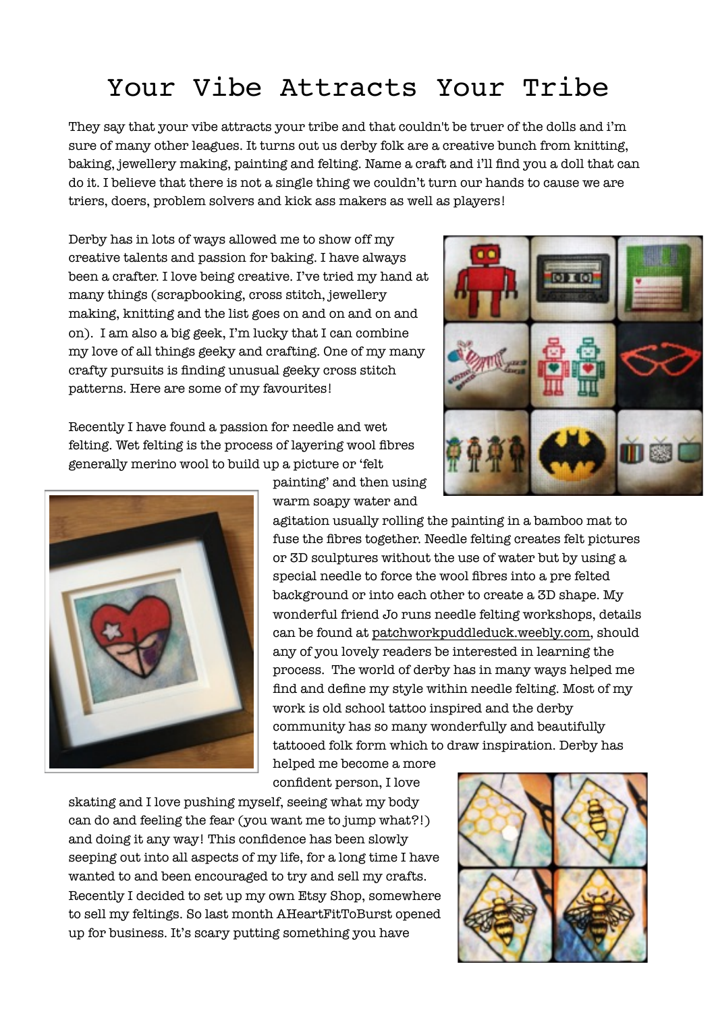## Your Vibe Attracts Your Tribe

They say that your vibe attracts your tribe and that couldn't be truer of the dolls and i'm sure of many other leagues. It turns out us derby folk are a creative bunch from knitting, baking, jewellery making, painting and felting. Name a craft and i'll find you a doll that can do it. I believe that there is not a single thing we couldn't turn our hands to cause we are triers, doers, problem solvers and kick ass makers as well as players!

Derby has in lots of ways allowed me to show off my creative talents and passion for baking. I have always been a crafter. I love being creative. I've tried my hand at many things (scrapbooking, cross stitch, jewellery making, knitting and the list goes on and on and on and on). I am also a big geek, I'm lucky that I can combine my love of all things geeky and crafting. One of my many crafty pursuits is finding unusual geeky cross stitch patterns. Here are some of my favourites!

Recently I have found a passion for needle and wet felting. Wet felting is the process of layering wool fibres generally merino wool to build up a picture or 'felt



painting' and then using warm soapy water and

agitation usually rolling the painting in a bamboo mat to fuse the fibres together. Needle felting creates felt pictures or 3D sculptures without the use of water but by using a special needle to force the wool fibres into a pre felted background or into each other to create a 3D shape. My wonderful friend Jo runs needle felting workshops, details can be found at [patchworkpuddleduck.weebly.com,](http://patchworkpuddleduck.weebly.com) should any of you lovely readers be interested in learning the process. The world of derby has in many ways helped me find and define my style within needle felting. Most of my work is old school tattoo inspired and the derby community has so many wonderfully and beautifully tattooed folk form which to draw inspiration. Derby has

helped me become a more confident person, I love

skating and I love pushing myself, seeing what my body can do and feeling the fear (you want me to jump what?!) and doing it any way! This confidence has been slowly seeping out into all aspects of my life, for a long time I have wanted to and been encouraged to try and sell my crafts. Recently I decided to set up my own Etsy Shop, somewhere to sell my feltings. So last month AHeartFitToBurst opened up for business. It's scary putting something you have